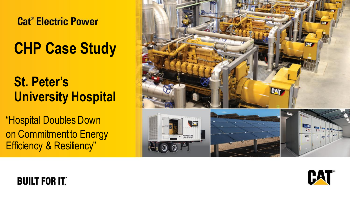#### **Cat<sup>®</sup> Electric Power**

# **CHP Case Study**

## **St. Peter's University Hospital**

"Hospital Doubles Down on Commitment to Energy Efficiency & Resiliency"





#### **BUILT FOR IT.**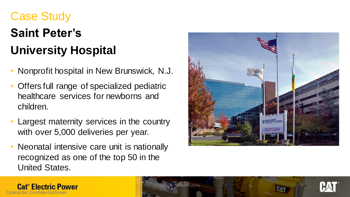## Case Study

Caterpillar: Confidential Green

**Cat<sup>®</sup> Electric Power** 

# **Saint Peter's University Hospital**

- Nonprofit hospital in New Brunswick, N.J.
- Offers full range of specialized pediatric healthcare services for newborns and children.
- Largest maternity services in the country with over 5,000 deliveries per year.
- Neonatal intensive care unit is nationally recognized as one of the top 50 in the United States.



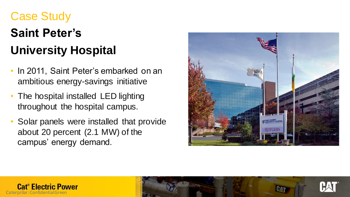## Case Study

# **Saint Peter's University Hospital**

- In 2011, Saint Peter's embarked on an ambitious energy-savings initiative
- The hospital installed LED lighting throughout the hospital campus.
- Solar panels were installed that provide about 20 percent (2.1 MW) of the campus' energy demand.







CATERPILLAR: NON-CONFIDENTIAL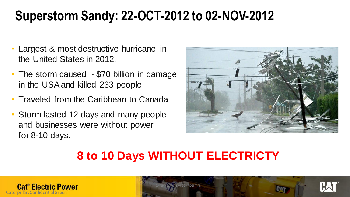## **Superstorm Sandy: 22-OCT-2012 to 02-NOV-2012**

- Largest & most destructive hurricane in the United States in 2012.
- The storm caused  $\sim$  \$70 billion in damage in the USA and killed 233 people
- Traveled from the Caribbean to Canada
- Storm lasted 12 days and many people and businesses were without power for 8-10 days.



## **8 to 10 Days WITHOUT ELECTRICTY**

CATERPILLAR: NON-CONFIDENTIAL



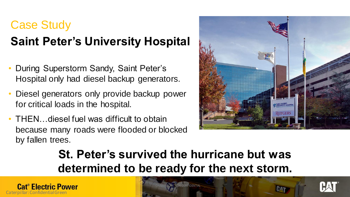## Case Study **Saint Peter's University Hospital**

- During Superstorm Sandy, Saint Peter's Hospital only had diesel backup generators.
- Diesel generators only provide backup power for critical loads in the hospital.
- THEN diesel fuel was difficult to obtain because many roads were flooded or blocked by fallen trees.



### **St. Peter's survived the hurricane but was determined to be ready for the next storm.**



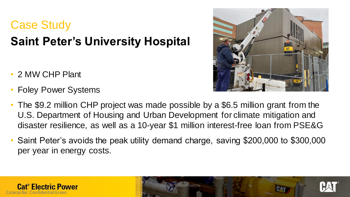## Case Study **Saint Peter's University Hospital**

- 2 MW CHP Plant
- Foley Power Systems



- The \$9.2 million CHP project was made possible by a \$6.5 million grant from the U.S. Department of Housing and Urban Development for climate mitigation and disaster resilience, as well as a 10-year \$1 million interest-free loan from PSE&G
- Saint Peter's avoids the peak utility demand charge, saving \$200,000 to \$300,000 per year in energy costs.

CATERPILLAR: NON-CONFIDENTIAL



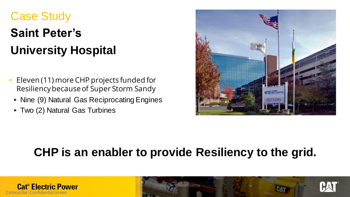## Case Study **Saint Peter's University Hospital**

- Eleven (11) more CHP projects funded for Resiliency because of Super Storm Sandy
- ‣ Nine (9) Natural Gas Reciprocating Engines
- ‣ Two (2) Natural Gas Turbines



## **CHP is an enabler to provide Resiliency to the grid.**